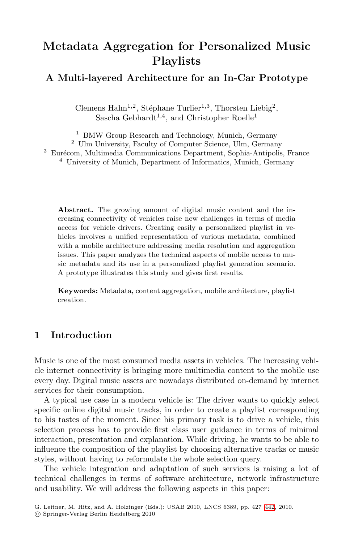# **Metadata Aggregation for Personalized Music Playlists**

# **A Multi-layered Architecture for an In-Car Prototype**

Clemens Hahn<sup>1,2</sup>, Stéphane Turlier<sup>1,3</sup>, Thorsten Liebig<sup>2</sup>, Sascha Gebhardt<sup>1,4</sup>, and Christopher Roelle<sup>1</sup>

<sup>1</sup> BMW Group Research and Technology, Munich, Germany

<sup>2</sup> Ulm University, Faculty of Computer Science, Ulm, Germany

 $3$  Eurécom, Multimedia Communications Department, Sophia-Antipolis, France

<sup>4</sup> University of Munich, Department of Informatics, Munich, Germany

**Abstract.** The growing amount of digital music content and the increasing connectivity of vehicles raise new challenges in terms of media access for vehicle drivers. Creating easily a personalized playlist in vehicles involves a unified representation of various metadata, combined with a mobile architecture addressing media resolution and aggregation issues. This paper analyzes the technical aspects of mobile access to music metadata and its use in a personalized playlist generation scenario. A prototype illustrates this study and gives first results.

**Keywords:** Metadata, content aggregation, mobile architecture, playlist creation.

# **1 Introduction**

Music is one of the most consumed media assets in vehicles. The increasing vehicle internet connectivity is bringing more multimedia content to the mobile use every day. Digital music assets are nowadays distributed on-demand by internet services for their consumption.

A typical use case in a modern vehicle is: The driver wants to quickly select specific online digital music tracks, in order to create a playlist corresponding to his tastes of the moment. Since his primary task is to drive a vehicle, this selection process has to provide first class u[ser](#page-15-0) guidance in terms of minimal interaction, presentation and explanation. While driving, he wants to be able to influence the composition of the playlist by choosing alternative tracks or music styles, without having to reformulate the whole selection query.

The vehicle integration and adaptation of such services is raising a lot of technical challenges in terms of software architecture, network infrastructure and usability. We will address the following aspects in this paper:

G. Leitner, M. Hitz, and A. Holzinger (Eds.): USAB 2010, LNCS 6389, pp. 427–442, 2010.

<sup>-</sup>c Springer-Verlag Berlin Heidelberg 2010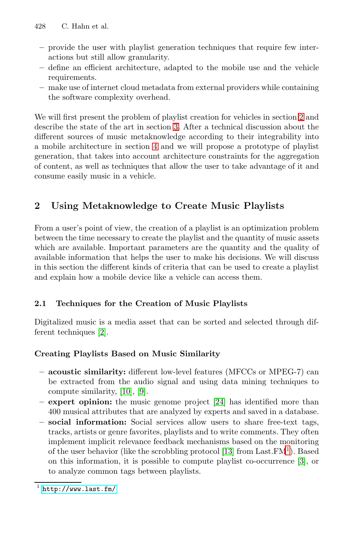- **–** provide the use[r w](#page-4-0)ith playlist generation techniqu[es](#page-1-0) that require few interactions but still allow granularity.
- **–** define an [effi](#page-5-0)cient architecture, adapted to the mobile use and the vehicle requirements.
- **–** make use of internet cloud metadata from external providers while containing the software complexity overhead.

<span id="page-1-0"></span>We will first present the problem of playlist creation for vehicles in section 2 and describe the state of the art in section 3. After a technical discussion about the different sources of music metaknowledge according to their integrability into a mobile architecture in section 4 and we will propose a prototype of playlist generation, that takes into account architecture constraints for the aggregation of content, as well as techniques that allow the user to take advantage of it and consume easily music in a vehicle.

# **2 Using Metaknowledge to Create Music Playlists**

<span id="page-1-2"></span>From a user's point of view, the creation of a playlist is an optimization problem between the time necessary to create the playlist and the quantity of music assets which are available. Important parameters are the quantity and the quality of [a](#page-14-0)vailable information that helps the user to make his decisions. We will discuss in this section the different kinds of criteria that can be used to create a playlist and explain how a mobile device like a vehicle can access them.

### **2.1 Techniques for the Creation of Music Playlists**

Digit[aliz](#page-14-1)e[d](#page-14-2) [m](#page-14-2)usic is a media as[set](#page-15-1) that can be sorted and selected through different techniques [2].

### **Creating Playlists Based on Music Similarity**

- **acoustic similarity:** differe[nt lo](#page-14-3)w-level featur[es](#page-1-1) (MFCCs or MPEG-7) can be extracted from the audio signal and using da[ta](#page-14-4) mining techniques to compute similarity, [10], [9].
- **expert opinion:** the music genome project [24] has identified more than [4](http://www.last.fm/)00 musical attributes that are analyzed by experts and saved in a database.
- <span id="page-1-1"></span>**– social information:** Social services allow users to share free-text tags, tracks, artists or genre favorites, playlists and to write comments. They often implement implicit relevance feedback mechanisms based on the monitoring of the user behavior (like the scrobbling protocol [13] from Last. $FM<sup>1</sup>$ ). Based on this information, it is possible to compute playlist co-occurrence [3], or to analyze common tags between playlists.

 $1$  http://www.last.fm/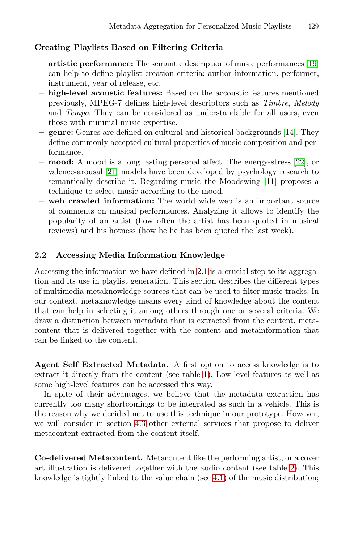### **Creating Playlists Based on Filtering Criteria**

- **artistic performance:** The semantic description of music performances [19] can help to define playlist creation criteria: author information, performer, instrument, year of release, etc.
- **[h](#page-15-3)igh-level acoustic features:** Based on the acc[ous](#page-15-2)tic features mentioned previously, MPEG-7 defines high-level d[escr](#page-14-5)iptors such as *Timbre*, *Melody* and *Tempo*. They can be considered as understandable for all users, even those with minimal music expertise.
- **genre:** Genres are defined on cultural and historical backgrounds [14]. They define commonly accepted cultural properties of music composition and performance.
- **mood:** A mood is a long lasting personal affect. The energy-stress [22], or valence-arousal [21] models have been developed by psychology research to semantically describe it. Regarding music the Moodswing [11] proposes a technique to select m[usic](#page-1-2) according to the mood.
- **web crawled information:** The world wide web is an important source of comments on musical performances. Analyzing it allows to identify the popularity of an artist (how often the artist has been quoted in musical reviews) and his hotness (how he he has been quoted the last week).

#### **2.2 Accessing Media Information Knowledge**

Accessing the information we have defined in 2.1 is a crucial step to its aggregation and its use in playlist generation. This section describes the different types of multimedia metaknowledge sources that can be used to filter music tracks. In our context, metaknowledg[e](#page-3-0) [m](#page-3-0)eans every kind of knowledge about the content that can help in selecting it among others through one or several criteria. We draw a distinction between metadata that is extracted from the content, metacontent that is delivered together with the content and metainformation that can be linked to the content.

**Agent Self Extracted Metadata.** A first option to access knowledge is to extract it directly from the content (see table 1). Low-level features as well as some high-level features can be accessed this way.

In spite of their advantages, we believe that th[e](#page-4-1) metadata extraction has currently too many shortcomi[ngs](#page-5-1) to be integrated as such in a vehicle. This is the reason why we decided not to use this technique in our prototype. However, we will consider in section 4.3 other external services that propose to deliver metacontent extracted from the content itself.

**Co-delivered Metacontent.** Metacontent like the performing artist, or a cover art illustration is delivered together with the audio content (see table 2). This knowledge is tightly linked to the value chain (see 4.1) of the music distribution;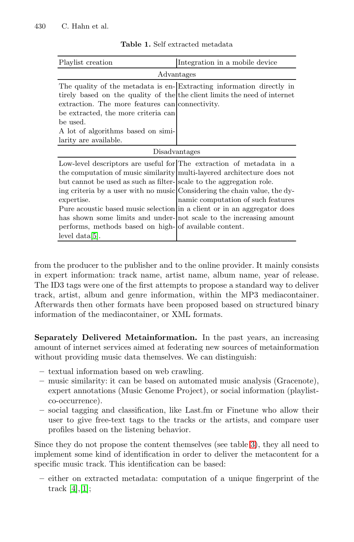| Playlist creation                                                                                                                                                                                                                                                                                                                                                                              | Integration in a mobile device                                                                                                                                                         |  |  |  |  |
|------------------------------------------------------------------------------------------------------------------------------------------------------------------------------------------------------------------------------------------------------------------------------------------------------------------------------------------------------------------------------------------------|----------------------------------------------------------------------------------------------------------------------------------------------------------------------------------------|--|--|--|--|
| Advantages                                                                                                                                                                                                                                                                                                                                                                                     |                                                                                                                                                                                        |  |  |  |  |
| extraction. The more features can connectivity.<br>be extracted, the more criteria can<br>be used.<br>A lot of algorithms based on simi-<br>larity are available.                                                                                                                                                                                                                              | The quality of the metadata is en-Extracting information directly in<br>tirely based on the quality of the the client limits the need of internet                                      |  |  |  |  |
| Disadvantages                                                                                                                                                                                                                                                                                                                                                                                  |                                                                                                                                                                                        |  |  |  |  |
| the computation of music similarity multi-layered architecture does not<br>but cannot be used as such as filter-scale to the aggregation role.<br>ing criteria by a user with no music Considering the chain value, the dy-<br>expertise.<br>has shown some limits and under- not scale to the increasing amount<br>performs, methods based on high-of available content.<br>$level data[5]$ . | Low-level descriptors are useful for The extraction of metadata in a<br>namic computation of such features<br>Pure acoustic based music selection in a client or in an aggregator does |  |  |  |  |

<span id="page-3-0"></span>**Table 1.** Self extracted metadata

from the producer to the publisher and to the online provider. It mainly consists in expert information: track name, artist name, album name, year of release. The ID3 tags were one of the first attempts to propose a standard way to deliver track, artist, album and genre information, within the MP3 mediacontainer. Afterwards then other formats have been proposed based on structured binary information of the mediacontainer, or XML formats.

**Separately Delivered Metainformation.** In the past years, an increasing amount of internet services aimed at federating new sources of metainformation without providing music data themselves. We can distinguish:

- **–** textual information based on web cr[aw](#page-5-2)ling.
- **–** music similarity: it can be based on automated music analysis (Gracenote), expert annotations (Music Genome Project), or social information (playlistco-occurrence).
- **–** social tagging and classification, like Last.fm or Finetune who allow their user to give free-text tags to the tracks or the artists, and compare user profiles based on the listening behavior.

Since they do not propose the content themselves (see table 3), they all need to implement some kind of identification in order to deliver the metacontent for a specific music track. This identification can be based:

**–** either on extracted metadata: computation of a unique fingerprint of the track  $[4]$ ,  $[1]$ ;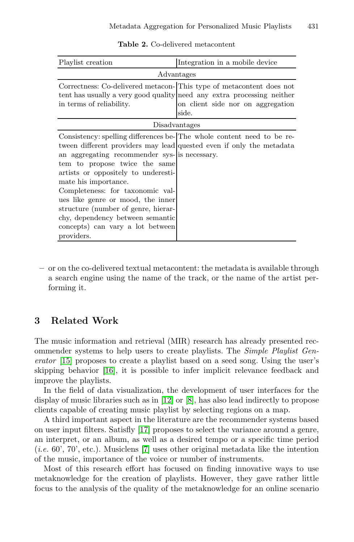| Playlist creation                                                                                                                                                                                                                                                                                                                                   | Integration in a mobile device                                                                                                                                                              |  |  |  |  |
|-----------------------------------------------------------------------------------------------------------------------------------------------------------------------------------------------------------------------------------------------------------------------------------------------------------------------------------------------------|---------------------------------------------------------------------------------------------------------------------------------------------------------------------------------------------|--|--|--|--|
| Advantages                                                                                                                                                                                                                                                                                                                                          |                                                                                                                                                                                             |  |  |  |  |
| in terms of reliability.                                                                                                                                                                                                                                                                                                                            | Correctness: Co-delivered metacon-This type of metacontent does not<br>tent has usually a very good quality need any extra processing neither<br>on client side nor on aggregation<br>side. |  |  |  |  |
| Disadvantages                                                                                                                                                                                                                                                                                                                                       |                                                                                                                                                                                             |  |  |  |  |
| an aggregating recommender sys- is necessary.<br>tem to propose twice the same<br>artists or oppositely to underesti-<br>mate his importance.<br>Completeness: for taxonomic val-<br>ues like genre or mood, the inner<br>structure (number of genre, hierar-<br>chy, dependency between semantic<br>concepts) can vary a lot between<br>providers. | Consistency: spelling differences be-The whole content need to be re-<br>tween different providers may lead quested even if only the metadata                                               |  |  |  |  |

<span id="page-4-1"></span>**Table 2.** Co-delivered metacontent

<span id="page-4-0"></span>**–** or on the co-delivered textual metacontent: the metadata is available through a search engine using the name of the track, or the name of the artist performing it.

### **3 Related [Wo](#page-14-6)rk**

The music information and retrieval (MIR) research has already presented recommende[r sy](#page-14-7)stems to help users to create playlists. The *Simple Playlist Generator* [15] proposes to create a playlist based on a seed song. Using the user's skipping b[eh](#page-14-8)avior [16], it is possible to infer implicit relevance feedback and improve the playlists.

In the field of data visualization, the development of user interfaces for the display of music libraries such as in [12] or [8], has also lead indirectly to propose clients capable of creating music playlist by selecting regions on a map.

A third important aspect in the literature are the recommender systems based on user input filters. Satisfly [17] proposes to select the variance around a genre, an interpret, or an album, as well as a desired tempo or a specific time period (*i.e.* 60', 70', etc.). Musiclens [7] uses other original metadata like the intention of the music, importance of the voice or number of instruments.

Most of this research effort has focused on finding innovative ways to use metaknowledge for the creation of playlists. However, they gave rather little focus to the analysis of the quality of the metaknowledge for an online scenario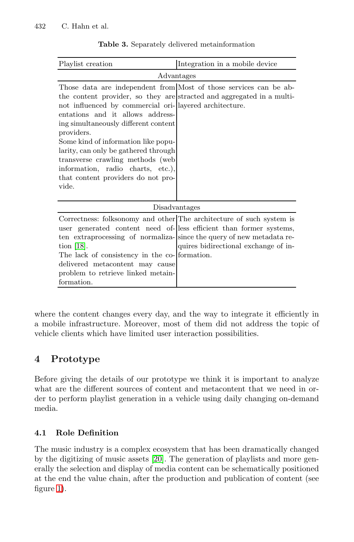<span id="page-5-2"></span>

| Table 3. Separately delivered metainformation |
|-----------------------------------------------|
|                                               |

| Playlist creation                                                                                                                                                                                                                                                                                                                                       | Integration in a mobile device                                                                                                                                                                                                                             |  |  |  |  |  |
|---------------------------------------------------------------------------------------------------------------------------------------------------------------------------------------------------------------------------------------------------------------------------------------------------------------------------------------------------------|------------------------------------------------------------------------------------------------------------------------------------------------------------------------------------------------------------------------------------------------------------|--|--|--|--|--|
| Advantages                                                                                                                                                                                                                                                                                                                                              |                                                                                                                                                                                                                                                            |  |  |  |  |  |
| not influenced by commercial ori-layered architecture.<br>entations and it allows address-<br>ing simultaneously different content<br>providers.<br>Some kind of information like popu-<br>larity, can only be gathered through<br>transverse crawling methods (web<br>information, radio charts, etc.),<br>that content providers do not pro-<br>vide. | Those data are independent from Most of those services can be ab-<br>the content provider, so they are stracted and aggregated in a multi-                                                                                                                 |  |  |  |  |  |
|                                                                                                                                                                                                                                                                                                                                                         | Disadvantages                                                                                                                                                                                                                                              |  |  |  |  |  |
| tion $ 18 $ .<br>The lack of consistency in the co- formation.<br>delivered metacontent may cause<br>problem to retrieve linked metain-<br>formation.                                                                                                                                                                                                   | Correctness: folksonomy and other The architecture of such system is<br>user generated content need of-less efficient than former systems,<br>ten extraprocessing of normaliza-since the query of new metadata re-<br>quires bidirectional exchange of in- |  |  |  |  |  |

<span id="page-5-0"></span>where the content changes every day, and the way to integrate it efficiently in a mobile infrastructure. Moreover, most of them did not address the topic of vehicle clients which have limited user interaction possibilities.

# <span id="page-5-1"></span>**4 Prototype**

Before giving [the](#page-14-9) details of our prototype we think it is important to analyze what are the different sources of content and metacontent that we need in order to perform playlist generation in a vehicle using daily changing on-demand media.

### **4.1 Role Definition**

The music industry is a complex ecosystem that has been dramatically changed by the digitizing of music assets [20]. The generation of playlists and more generally the selection and display of media content can be schematically positioned at the end the value chain, after the production and publication of content (see figure 1).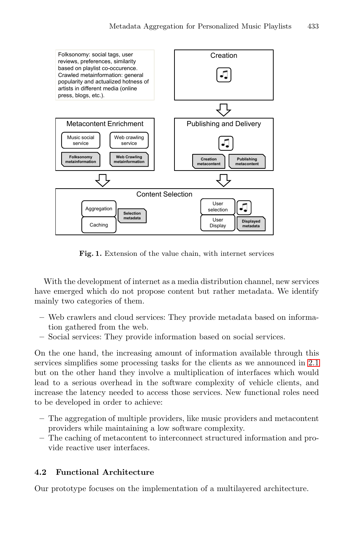

**Fig. 1.** Extension of the value chain, with internet services

With the development of internet as a media distribution channel, new services have emerged which do not propose content but rather [meta](#page-1-2)data. We identify mainly two categories of them.

- **–** Web crawlers and cloud services: They provide metadata based on information gathered from the web.
- **–** Social services: They provide information based on social services.

On the one hand, the increasing amount of information available through this services simplifies some processing tasks for the clients as we announced in 2.1 but on the other hand they involve a multiplication of interfaces which would lead to a serious overhead in the software complexity of vehicle clients, and increase the latency needed to access those services. New functional roles need to be developed in order to achieve:

- **–** The aggregation of multiple providers, like music providers and metacontent providers while maintaining a low software complexity.
- **–** The caching of metacontent to interconnect structured information and provide reactive user interfaces.

### **4.2 Functional Architecture**

Our prototype focuses on the implementation of a multilayered architecture.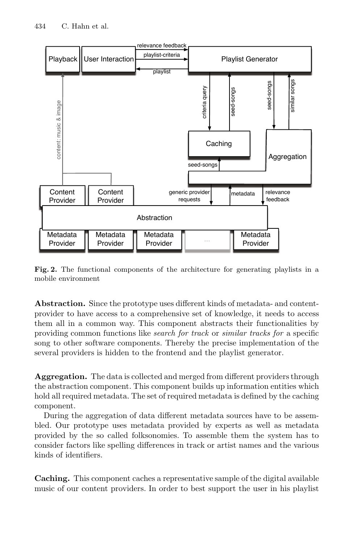

**Fig. 2.** The functional components of the architecture for generating playlists in a mobile environment

**Abstraction.** Since the prototype uses different kinds of metadata- and contentprovider to have access to a comprehensive set of knowledge, it needs to access them all in a common way. This component abstracts their functionalities by providing common functions like *search for track* or *similar tracks for* a specific song to other software components. Thereby the precise implementation of the several providers is hidden to the frontend and the playlist generator.

**Aggregation.** The data is collected and merged from different providers through the abstraction component. This component builds up information entities which hold all required metadata. The set of required metadata is defined by the caching component.

During the aggregation of data different metadata sources have to be assembled. Our prototype uses metadata provided by experts as well as metadata provided by the so called folksonomies. To assemble them the system has to consider factors like spelling differences in track or artist names and the various kinds of identifiers.

**Caching.** This component caches a representative sample of the digital available music of our content providers. In order to best support the user in his playlist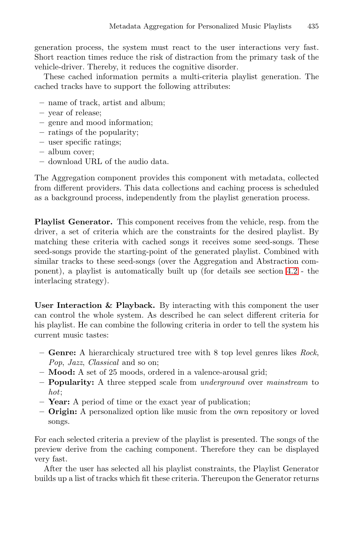generation process, the system must react to the user interactions very fast. Short reaction times reduce the risk of distraction from the primary task of the vehicle-driver. Thereby, it reduces the cognitive disorder.

These cached information permits a multi-criteria playlist generation. The cached tracks have to support the following attributes:

- **–** name of track, artist and album;
- **–** year of release;
- **–** genre and mood information;
- **–** ratings of the popularity;
- **–** user specific ratings;
- **–** album cover;
- **–** download URL of the audio data.

The Aggregation component provides this component with metadata, collected from different providers. This data collections and caching process is scheduled as a background process, independently from the p[layl](#page-9-0)ist generation process.

**Playlist Generator.** This component receives from the vehicle, resp. from the driver, a set of criteria which are the constraints for the desired playlist. By matching these criteria with cached songs it receives some seed-songs. These seed-songs provide the starting-point of the generated playlist. Combined with similar tracks to these seed-songs (over the Aggregation and Abstraction component), a playlist is automatically built up (for details see section 4.2 - the interlacing strategy).

**User Interaction & Playback.** By interacting with this component the user can control the whole system. As described he can select different criteria for his playlist. He can combine the following criteria in order to tell the system his current music tastes:

- **Genre:** A hierarchicaly structured tree with 8 top level genres likes *Rock*, *Pop*, *Jazz*, *Classical* and so on;
- **Mood:** A set of 25 moods, ordered in a valence-arousal grid;
- **Popularity:** A three stepped scale from *underground* over *mainstream* to *hot*;
- **Year:** A period of time or the exact year of publication;
- **Origin:** A personalized option like music from the own repository or loved songs.

For each selected criteria a preview of the playlist is presented. The songs of the preview derive from the caching component. Therefore they can be displayed very fast.

After the user has selected all his playlist constraints, the Playlist Generator builds up a list of tracks which fit these criteria. Thereupon the Generator returns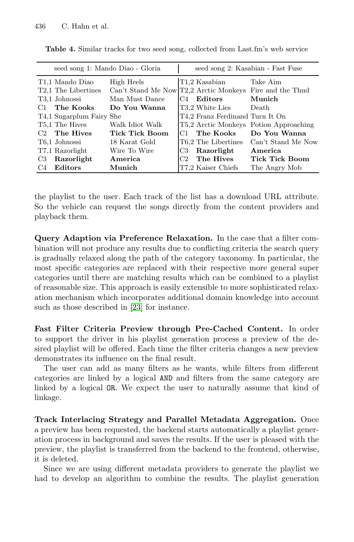<span id="page-9-1"></span>**Table 4.** Similar tracks for two seed song, collected from Last.fm's web service

|                | seed song 1: Mando Diao - Gloria      |                                                          |     | seed song 2: Kasabian - Fast Fuse |                                        |  |
|----------------|---------------------------------------|----------------------------------------------------------|-----|-----------------------------------|----------------------------------------|--|
|                | T1,1 Mando Diao                       | High Heels                                               |     | T1.2 Kasabian                     | Take Aim                               |  |
|                | T <sub>2</sub> ,1 The Libertines      | Can't Stand Me Now T2.2 Arctic Monkeys Fire and the Thud |     |                                   |                                        |  |
|                | T3.1 Johnossi                         | Man Must Dance                                           | C4  | $_{\rm Editors}$                  | Munich                                 |  |
| C1 –           | The Kooks                             | Do You Wanna                                             |     | T3,2 White Lies                   | Death                                  |  |
|                | T <sub>4</sub> ,1 Sugarplum Fairy She |                                                          |     | T4.2 Franz Ferdinand Turn It On   |                                        |  |
|                | T5.1 The Hives                        | Walk Idiot Walk                                          |     |                                   | T5.2 Arctic Monkeys Potion Approaching |  |
|                | $C2$ The Hives                        | <b>Tick Tick Boom</b>                                    | C1  | The Kooks                         | Do You Wanna                           |  |
|                | T6.1 Johnossi                         | 18 Karat Gold                                            |     | T <sub>6</sub> .2 The Libertines  | Can't Stand Me Now                     |  |
|                | T7,1 Razorlight                       | Wire To Wire                                             | C3- | Razorlight                        | America                                |  |
| C <sub>3</sub> | Razorlight                            | America                                                  | C2. | The Hives                         | <b>Tick Tick Boom</b>                  |  |
| C4             | Editors                               | Munich                                                   |     | T7.2 Kaiser Chiefs                | The Angry Mob                          |  |

the playlist to the user. Each track of the list has a download URL attribute. So the vehicle can request the songs directly from the content providers and playback them.

<span id="page-9-0"></span>**Query [Ad](#page-15-4)aption via Preference Relaxation.** In the case that a filter combination will not produce any results due to conflicting criteria the search query is gradually relaxed along the path of the category taxonomy. In particular, the most specific categories are replaced with their respective more general super categories until there are matching results which can be combined to a playlist of reasonable size. This approach is easily extensible to more sophisticated relaxation mechanism which incorporates additional domain knowledge into account such as those described in [23] for instance.

**Fast Filter Criteria Preview through Pre-Cached Content.** In order to support the driver in his playlist generation process a preview of the desired playlist will be offered. Each time the filter criteria changes a new preview demonstrates its influence on the final result.

The user can add as many filters as he wants, while filters from different categories are linked by a logical AND and filters from the same category are linked by a logical OR. We expect the user to naturally assume that kind of linkage.

**Track Interlacing Strategy and Parallel Metadata Aggregation.** Once a preview has been requested, the backend starts automatically a playlist generation process in background and saves the results. If the user is pleased with the preview, the playlist is transferred from the backend to the frontend, otherwise, it is deleted.

Since we are using different metadata providers to generate the playlist we had to develop an algorithm to combine the results. The playlist generation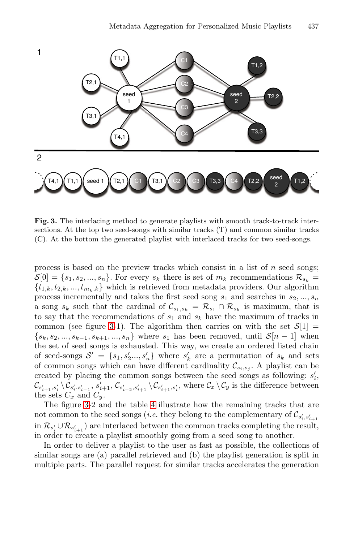

Fig. 3. The interlacing method to generate playlists with smooth track-to-track intersections. At the top two seed-songs with similar tracks (T) and common similar tracks (C). At the bottom the generated playlist with interlaced tracks for two seed-songs.

process is based on the preview tracks which consist in a list of *n* seed songs;  $\mathcal{S}[0] = \{s_1, s_2, ..., s_n\}$ . For every  $s_k$  there is set of  $m_k$  recommendations  $\mathcal{R}_{s_k}$  =  ${t_{1,k}, t_{2,k}, ..., t_{m_k,k}}$  which is retrieved from metadata providers. Our algorithm process incrementally and takes the first seed song  $s_1$  and searches in  $s_2, ..., s_n$ a song  $s_k$  such that the cardinal of  $\mathcal{C}_{s_1,s_k} = \mathcal{R}_{s_1} \cap \mathcal{R}_{s_k}$  is maximum, that is to say that the recommendations of  $s_1$  and  $s_k$  have the maximum of tracks in common (see [fi](#page-9-1)gure 3-1). The algorithm then carries on with the set  $S[1] =$  ${s_k, s_2, ..., s_{k-1}, s_{k+1}, ..., s_n}$  where *s*<sub>1</sub> has been removed, until  $S[n-1]$  when the set of seed songs is exhausted. This way, we create an ordered listed chain of seed-songs  $\mathcal{S}' = \{s_1, s_2', \ldots, s_n'\}$  where  $s_k'$  are a permutation of  $s_k$  and sets of common songs which can have different cardinality  $\mathcal{C}_{s_i,s_j}$ . A playlist can be created by placing the common songs between the seed songs as following:  $s_i'$ ,  $\mathcal{C}_{s'_{i+1},s'_{i}} \setminus \mathcal{C}_{s'_{i},s'_{i-1}}, s'_{i+1}, \mathcal{C}_{s'_{i+2},s'_{i+1}} \setminus \mathcal{C}_{s'_{i+1},s'_{i}},$  where  $\mathcal{C}_{x} \setminus \mathcal{C}_{y}$  is the difference between the sets  $C_x$  and  $C_y$ .

The figure 3-2 and the table 4 illustrate how the remaining tracks that are not common to the seed songs (*i.e.* they belong to the complementary of  $\mathcal{C}_{s'_i,s'_i}$ in  $\mathcal{R}_{s'_i} \cup \mathcal{R}_{s'_{i+1}}$  are interlaced between the common tracks completing the result, in order to create a playlist smoothly going from a seed song to another.

In order to deliver a playlist to the user as fast as possible, the collections of similar songs are (a) parallel retrieved and (b) the playlist generation is split in multiple parts. The parallel request for similar tracks accelerates the generation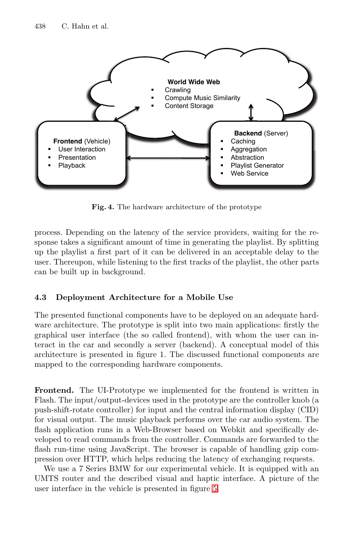

**Fig. 4.** The hardware architecture of the prototype

process. Depending on the latency of the service providers, waiting for the response takes a significant amount of time in generating the playlist. By splitting up the playlist a first part of it can be delivered in an acceptable delay to the user. Thereupon, while listening to the first tracks of the playlist, the other parts can be built up in background.

### **4.3 Deployment Architecture for a Mobile Use**

The presented functional components have to be deployed on an adequate hardware architecture. The prototype is split into two main applications: firstly the graphical user interface (the so called frontend), with whom the user can interact in the car and secondly a server (backend). A conceptual model of this architecture is presented in figure 1. The discussed functional components are mapped to the corresponding hardware components.

**Frontend.** The UI-Prototype we implemented for the frontend is written in Flash. The input/output-devices used in the prototype are the controller knob (a push-shift-rotate controller) fo[r i](#page-12-0)nput and the central information display (CID) for visual output. The music playback performs over the car audio system. The flash application runs in a Web-Browser based on Webkit and specifically developed to read commands from the controller. Commands are forwarded to the flash run-time using JavaScript. The browser is capable of handling gzip compression over HTTP, which helps reducing the latency of exchanging requests.

We use a 7 Series BMW for our experimental vehicle. It is equipped with an UMTS router and the described visual and haptic interface. A picture of the user interface in the vehicle is presented in figure 5.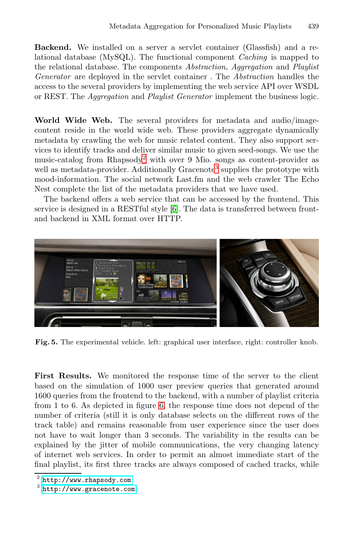**Backend.** We installed on a server a servlet container (Glassfish) and a relational database (MySQL). The functional component *Caching* is mapped to the relational database. The components *Abstraction*, *Aggregation* and *Playlist Generator* are deployed in the servlet container . The *Abstraction* handles the access to t[he](#page-12-1) several providers by implementing the web service API over WSDL or REST. The *Aggregation* and *[P](#page-12-2)laylist Generator* implement the business logic.

**World Wide Web.** The several providers for metadata and audio/imagecontent reside in t[he](#page-14-10) world wide web. These providers aggregate dynamically metadata by crawling the web for music related content. They also support services to identify tracks and deliver similar music to given seed-songs. We use the music-catalog from Rhapsody<sup>2</sup> with over 9 Mio. songs as content-provider as well as metadata-provider. Additionally Gracenote<sup>3</sup> supplies the prototype with mood-information. The social network Last.fm and the web crawler The Echo Nest complete the list of the metadata providers that we have used.

The backend offers a web service that can be accessed by the frontend. This service is designed in a RESTful style [6]. The data is transferred between frontand backend in XML format over HTTP.

<span id="page-12-0"></span>

**Fig. 5.** The experimental vehicle. left: graphical user interface, right: controller knob.

<span id="page-12-2"></span><span id="page-12-1"></span>First Results. We monitored the response time of the server to the client based on the simulation of 1000 user preview queries that generated around 1600 queries from the frontend to the backend, with a number of playlist criteria [from 1 to](http://www.rhapsody.com) 6. As depicted in figure 6, the response time does not depend of the [number o](http://www.gracenote.com)f criteria (still it is only database selects on the different rows of the track table) and remains reasonable from user experience since the user does not have to wait longer than 3 seconds. The variability in the results can be explained by the jitter of mobile communications, the very changing latency of internet web services. In order to permit an almost immediate start of the final playlist, its first three tracks are always composed of cached tracks, while

http://www.rhapsody.com

<sup>3</sup> http://www.gracenote.com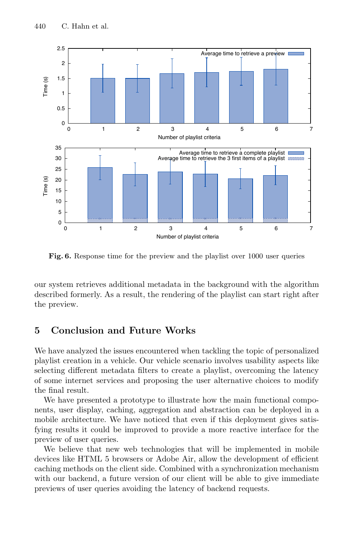

**Fig. 6.** Response time for the preview and the playlist over 1000 user queries

our system retrieves additional metadata in the background with the algorithm described formerly. As a result, the rendering of the playlist can start right after the preview.

# **5 Conclusion and Future Works**

We have analyzed the issues encountered when tackling the topic of personalized playlist creation in a vehicle. Our vehicle scenario involves usability aspects like selecting different metadata filters to create a playlist, overcoming the latency of some internet services and proposing the user alternative choices to modify the final result.

We have presented a prototype to illustrate how the main functional components, user display, caching, aggregation and abstraction can be deployed in a mobile architecture. We have noticed that even if this deployment gives satisfying results it could be improved to provide a more reactive interface for the preview of user queries.

We believe that new web technologies that will be implemented in mobile devices like HTML 5 browsers or Adobe Air, allow the development of efficient caching methods on the client side. Combined with a synchronization mechanism with our backend, a future version of our client will be able to give immediate previews of user queries avoiding the latency of backend requests.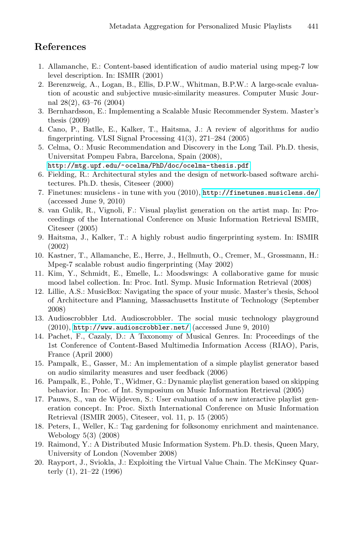### <span id="page-14-4"></span><span id="page-14-0"></span>**References**

- 1. Allamanche, E.: Content-based identification of audio material using mpeg-7 low level description. In: ISMIR (2001)
- <span id="page-14-10"></span>2. Berenzweig, A., Logan, B., Ellis, D.P.W., Whitman, B.P.W.: A large-scale evalua[tion](http://mtg.upf.edu/~ocelma/PhD/doc/ocelma-thesis.pdf) [of](http://mtg.upf.edu/~ocelma/PhD/doc/ocelma-thesis.pdf) [acoustic](http://mtg.upf.edu/~ocelma/PhD/doc/ocelma-thesis.pdf) [and](http://mtg.upf.edu/~ocelma/PhD/doc/ocelma-thesis.pdf) [subjective](http://mtg.upf.edu/~ocelma/PhD/doc/ocelma-thesis.pdf) [music-sim](http://mtg.upf.edu/~ocelma/PhD/doc/ocelma-thesis.pdf)ilarity measures. Computer Music Journal 28(2), 63–76 (2004)
- <span id="page-14-8"></span>3. Bernhardsson, E.: Imple[menting a Scalable Music Recommend](http://finetunes.musiclens.de/)er System. Master's thesis (2009)
- 4. Cano, P., Batlle, E., Kalker, T., Haitsma, J.: A review of algorithms for audio fingerprinting. VLSI Signal Processing 41(3), 271–284 (2005)
- <span id="page-14-2"></span>5. Celma, O.: Music Recommendation and Discovery in the Long Tail. Ph.D. thesis, Universitat Pompeu Fabra, Barcelona, Spain (2008),
	- http://mtg.upf.edu/~ocelma/PhD/doc/ocelma-thesis.pdf
- <span id="page-14-1"></span>6. Fielding, R.: Architectural styles and the design of network-based software architectures. Ph.D. thesis, Citeseer (2000)
- <span id="page-14-5"></span>7. Finetunes: musiclens - in tune with you (2010), http://finetunes.musiclens.de/ (accessed June 9, 2010)
- <span id="page-14-6"></span>8. van Gulik, R., Vignoli, F.: Visual playlist generation on the artist map. In: Proceedings of the International Conference on Music Information Retrieval ISMIR, Citeseer (2005)
- <span id="page-14-3"></span>9. Haitsma, J., Kalker, T.: A highly robust audio fingerprinting system. In: ISMIR (2002)
- [10.](http://www.audioscrobbler.net/) [Kastner,](http://www.audioscrobbler.net/) [T.,](http://www.audioscrobbler.net/) [Allamanch](http://www.audioscrobbler.net/)e, E., Herre, J., Hellmuth, O., Cremer, M., Grossmann, H.: Mpeg-7 scalable robust audio fingerprinting (May 2002)
- 11. Kim, Y., Schmidt, E., Emelle, L.: Moodswings: A collaborative game for music mood label collection. In: Proc. Intl. Symp. Music Information Retrieval (2008)
- 12. Lillie, A.S.: MusicBox: Navigating the space of your music. Master's thesis, School of Architecture and Planning, Massachusetts Institute of Technology (September 2008)
- <span id="page-14-7"></span>13. Audioscrobbler Ltd. Audioscrobbler. The social music technology playground (2010), http://www.audioscrobbler.net/ (accessed June 9, 2010)
- 14. Pachet, F., Cazaly, D.: A Taxonomy of Musical Genres. In: Proceedings of the 1st Conference of Content-Based Multimedia Information Access (RIAO), Paris, France (April 2000)
- 15. Pampalk, E., Gasser, M.: An implementation of a simple playlist generator based on audio similarity measures and user feedback (2006)
- <span id="page-14-9"></span>16. Pampalk, E., Pohle, T., Widmer, G.: Dynamic playlist generation based on skipping behavior. In: Proc. of Int. Symposium on Music Information Retrieval (2005)
- 17. Pauws, S., van de Wijdeven, S.: User evaluation of a new interactive playlist generation concept. In: Proc. Sixth International Conference on Music Information Retrieval (ISMIR 2005), Citeseer, vol. 11, p. 15 (2005)
- 18. Peters, I., Weller, K.: Tag gardening for folksonomy enrichment and maintenance. Webology 5(3) (2008)
- 19. Raimond, Y.: A Distributed Music Information System. Ph.D. thesis, Queen Mary, University of London (November 2008)
- 20. Rayport, J., Sviokla, J.: Exploiting the Virtual Value Chain. The McKinsey Quarterly (1), 21–22 (1996)